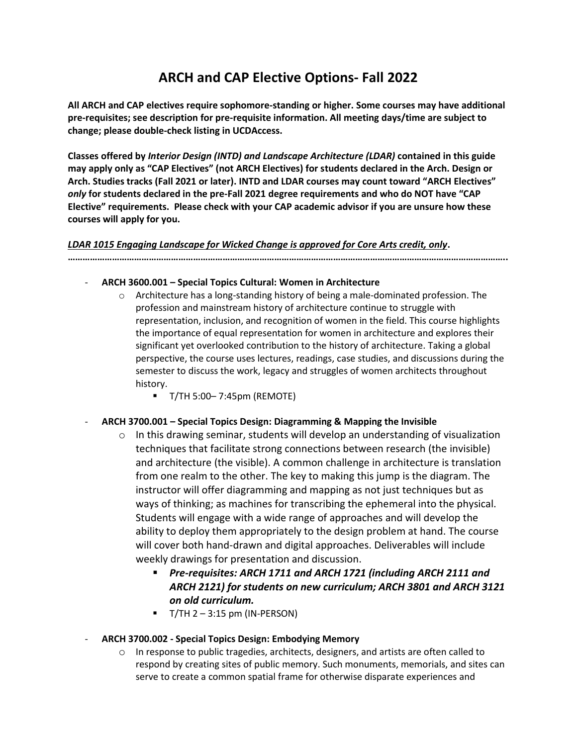# **ARCH and CAP Elective Options- Fall 2022**

**All ARCH and CAP electives require sophomore-standing or higher. Some courses may have additional pre-requisites; see description for pre-requisite information. All meeting days/time are subject to change; please double-check listing in UCDAccess.**

**Classes offered by** *Interior Design (INTD) and Landscape Architecture (LDAR)* **contained in this guide may apply only as "CAP Electives" (not ARCH Electives) for students declared in the Arch. Design or Arch. Studies tracks (Fall 2021 or later). INTD and LDAR courses may count toward "ARCH Electives"** *only* **for students declared in the pre-Fall 2021 degree requirements and who do NOT have "CAP Elective" requirements. Please check with your CAP academic advisor if you are unsure how these courses will apply for you.**

## *LDAR 1015 Engaging Landscape for Wicked Change is approved for Core Arts credit, only***.**

**……………………………………………………………………………………………………………………………………………………………..**

- **ARCH 3600.001 – Special Topics Cultural: Women in Architecture**
	- $\circ$  Architecture has a long-standing history of being a male-dominated profession. The profession and mainstream history of architecture continue to struggle with representation, inclusion, and recognition of women in the field. This course highlights the importance of equal representation for women in architecture and explores their significant yet overlooked contribution to the history of architecture. Taking a global perspective, the course uses lectures, readings, case studies, and discussions during the semester to discuss the work, legacy and struggles of women architects throughout history.
		- T/TH 5:00– 7:45pm (REMOTE)

# - **ARCH 3700.001 – Special Topics Design: Diagramming & Mapping the Invisible**

- $\circ$  In this drawing seminar, students will develop an understanding of visualization techniques that facilitate strong connections between research (the invisible) and architecture (the visible). A common challenge in architecture is translation from one realm to the other. The key to making this jump is the diagram. The instructor will offer diagramming and mapping as not just techniques but as ways of thinking; as machines for transcribing the ephemeral into the physical. Students will engage with a wide range of approaches and will develop the ability to deploy them appropriately to the design problem at hand. The course will cover both hand-drawn and digital approaches. Deliverables will include weekly drawings for presentation and discussion.
	- *Pre-requisites: ARCH 1711 and ARCH 1721 (including ARCH 2111 and ARCH 2121) for students on new curriculum; ARCH 3801 and ARCH 3121 on old curriculum.*
	- $\blacksquare$  T/TH 2 3:15 pm (IN-PERSON)
- **ARCH 3700.002 - Special Topics Design: Embodying Memory**
	- $\circ$  In response to public tragedies, architects, designers, and artists are often called to respond by creating sites of public memory. Such monuments, memorials, and sites can serve to create a common spatial frame for otherwise disparate experiences and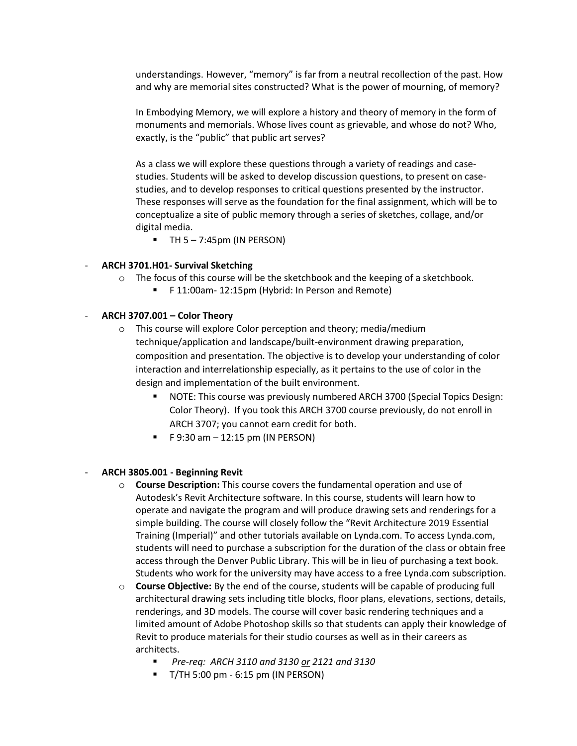understandings. However, "memory" is far from a neutral recollection of the past. How and why are memorial sites constructed? What is the power of mourning, of memory?

In Embodying Memory, we will explore a history and theory of memory in the form of monuments and memorials. Whose lives count as grievable, and whose do not? Who, exactly, is the "public" that public art serves?

As a class we will explore these questions through a variety of readings and casestudies. Students will be asked to develop discussion questions, to present on casestudies, and to develop responses to critical questions presented by the instructor. These responses will serve as the foundation for the final assignment, which will be to conceptualize a site of public memory through a series of sketches, collage, and/or digital media.

 $\blacksquare$  TH 5 – 7:45pm (IN PERSON)

#### - **ARCH 3701.H01- Survival Sketching**

- $\circ$  The focus of this course will be the sketchbook and the keeping of a sketchbook.
	- F 11:00am- 12:15pm (Hybrid: In Person and Remote)

#### - **ARCH 3707.001 – Color Theory**

- o This course will explore Color perception and theory; media/medium technique/application and landscape/built-environment drawing preparation, composition and presentation. The objective is to develop your understanding of color interaction and interrelationship especially, as it pertains to the use of color in the design and implementation of the built environment.
	- NOTE: This course was previously numbered ARCH 3700 (Special Topics Design: Color Theory). If you took this ARCH 3700 course previously, do not enroll in ARCH 3707; you cannot earn credit for both.
	- $\blacksquare$  F 9:30 am  $-$  12:15 pm (IN PERSON)

#### - **ARCH 3805.001 - Beginning Revit**

- o **Course Description:** This course covers the fundamental operation and use of Autodesk's Revit Architecture software. In this course, students will learn how to operate and navigate the program and will produce drawing sets and renderings for a simple building. The course will closely follow the "Revit Architecture 2019 Essential Training (Imperial)" and other tutorials available on Lynda.com. To access Lynda.com, students will need to purchase a subscription for the duration of the class or obtain free access through the Denver Public Library. This will be in lieu of purchasing a text book. Students who work for the university may have access to a free Lynda.com subscription.
- o **Course Objective:** By the end of the course, students will be capable of producing full architectural drawing sets including title blocks, floor plans, elevations, sections, details, renderings, and 3D models. The course will cover basic rendering techniques and a limited amount of Adobe Photoshop skills so that students can apply their knowledge of Revit to produce materials for their studio courses as well as in their careers as architects.
	- *Pre-req: ARCH 3110 and 3130 or 2121 and 3130*
	- T/TH 5:00 pm 6:15 pm (IN PERSON)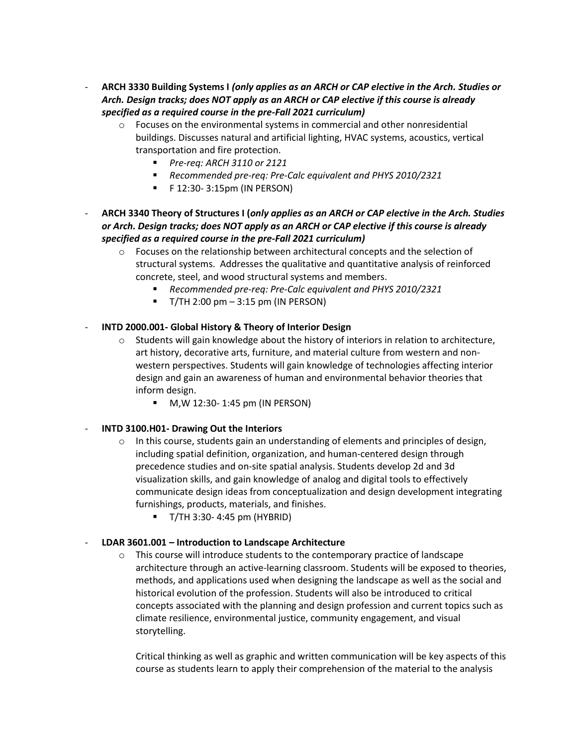- **ARCH 3330 Building Systems I** *(only applies as an ARCH or CAP elective in the Arch. Studies or Arch. Design tracks; does NOT apply as an ARCH or CAP elective if this course is already specified as a required course in the pre-Fall 2021 curriculum)*
	- o Focuses on the environmental systems in commercial and other nonresidential buildings. Discusses natural and artificial lighting, HVAC systems, acoustics, vertical transportation and fire protection.
		- *Pre-req: ARCH 3110 or 2121*
		- *Recommended pre-req: Pre-Calc equivalent and PHYS 2010/2321*
		- $\blacksquare$  F 12:30- 3:15pm (IN PERSON)
- **ARCH 3340 Theory of Structures I (***only applies as an ARCH or CAP elective in the Arch. Studies or Arch. Design tracks; does NOT apply as an ARCH or CAP elective if this course is already specified as a required course in the pre-Fall 2021 curriculum)*
	- $\circ$  Focuses on the relationship between architectural concepts and the selection of structural systems. Addresses the qualitative and quantitative analysis of reinforced concrete, steel, and wood structural systems and members.
		- *Recommended pre-req: Pre-Calc equivalent and PHYS 2010/2321*
		- $\blacksquare$  T/TH 2:00 pm 3:15 pm (IN PERSON)

## - **INTD 2000.001- Global History & Theory of Interior Design**

- $\circ$  Students will gain knowledge about the history of interiors in relation to architecture, art history, decorative arts, furniture, and material culture from western and nonwestern perspectives. Students will gain knowledge of technologies affecting interior design and gain an awareness of human and environmental behavior theories that inform design.
	- M,W 12:30- 1:45 pm (IN PERSON)

## - **INTD 3100.H01- Drawing Out the Interiors**

- $\circ$  In this course, students gain an understanding of elements and principles of design, including spatial definition, organization, and human-centered design through precedence studies and on-site spatial analysis. Students develop 2d and 3d visualization skills, and gain knowledge of analog and digital tools to effectively communicate design ideas from conceptualization and design development integrating furnishings, products, materials, and finishes.
	- T/TH 3:30- 4:45 pm (HYBRID)

## - **LDAR 3601.001 – Introduction to Landscape Architecture**

o This course will introduce students to the contemporary practice of landscape architecture through an active-learning classroom. Students will be exposed to theories, methods, and applications used when designing the landscape as well as the social and historical evolution of the profession. Students will also be introduced to critical concepts associated with the planning and design profession and current topics such as climate resilience, environmental justice, community engagement, and visual storytelling.

Critical thinking as well as graphic and written communication will be key aspects of this course as students learn to apply their comprehension of the material to the analysis